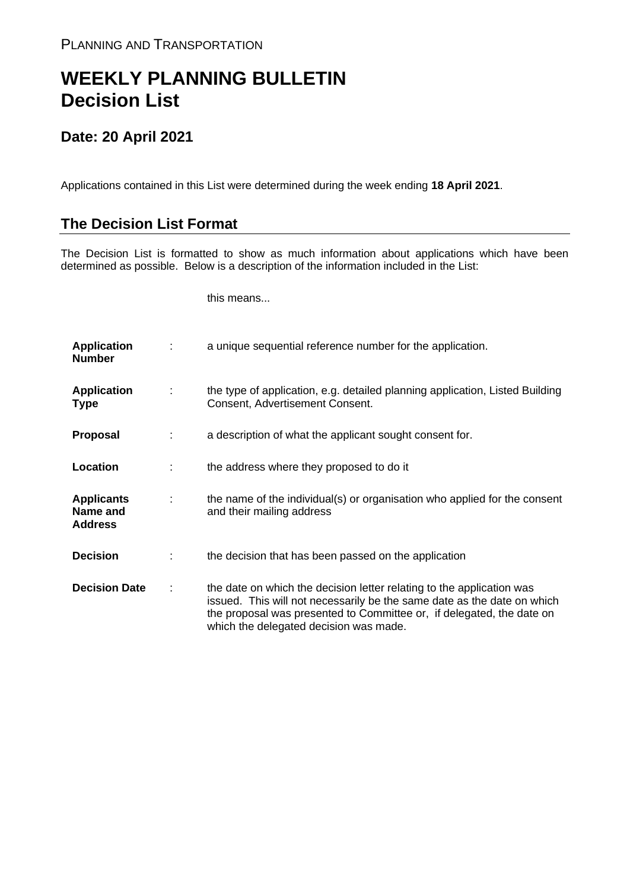## **WEEKLY PLANNING BULLETIN Decision List**

## **Date: 20 April 2021**

Applications contained in this List were determined during the week ending **18 April 2021**.

## **The Decision List Format**

The Decision List is formatted to show as much information about applications which have been determined as possible. Below is a description of the information included in the List:

this means...

| <b>Application</b><br><b>Number</b>             |   | a unique sequential reference number for the application.                                                                                                                                                                                                           |
|-------------------------------------------------|---|---------------------------------------------------------------------------------------------------------------------------------------------------------------------------------------------------------------------------------------------------------------------|
| <b>Application</b><br><b>Type</b>               | ÷ | the type of application, e.g. detailed planning application, Listed Building<br>Consent, Advertisement Consent.                                                                                                                                                     |
| <b>Proposal</b>                                 |   | a description of what the applicant sought consent for.                                                                                                                                                                                                             |
| Location                                        |   | the address where they proposed to do it                                                                                                                                                                                                                            |
| <b>Applicants</b><br>Name and<br><b>Address</b> |   | the name of the individual(s) or organisation who applied for the consent<br>and their mailing address                                                                                                                                                              |
| <b>Decision</b>                                 |   | the decision that has been passed on the application                                                                                                                                                                                                                |
| <b>Decision Date</b>                            |   | the date on which the decision letter relating to the application was<br>issued. This will not necessarily be the same date as the date on which<br>the proposal was presented to Committee or, if delegated, the date on<br>which the delegated decision was made. |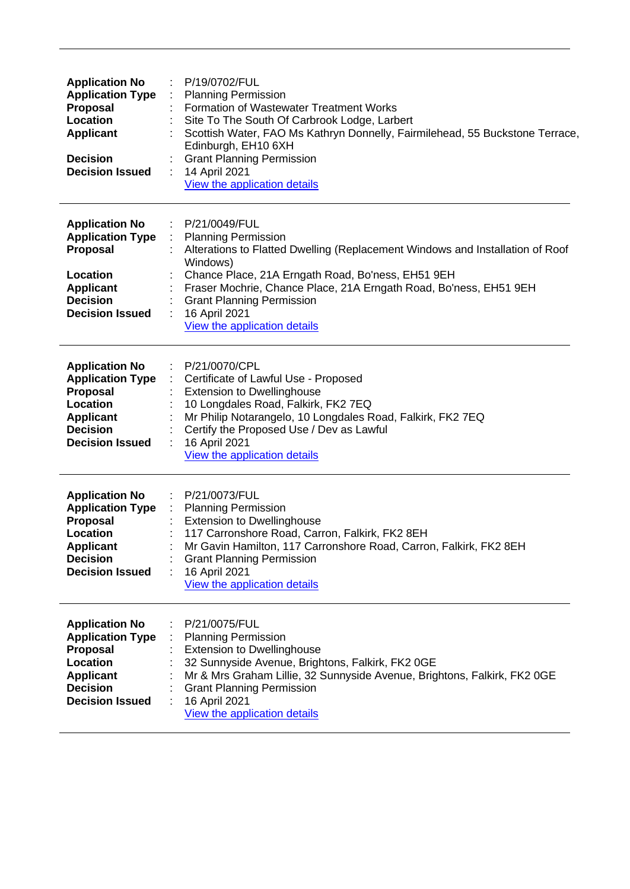| <b>Application No</b><br><b>Application Type</b><br><b>Proposal</b><br>Location<br><b>Applicant</b><br><b>Decision</b><br><b>Decision Issued</b> | P/19/0702/FUL<br><b>Planning Permission</b><br><b>Formation of Wastewater Treatment Works</b><br>Site To The South Of Carbrook Lodge, Larbert<br>Scottish Water, FAO Ms Kathryn Donnelly, Fairmilehead, 55 Buckstone Terrace,<br>Edinburgh, EH10 6XH<br><b>Grant Planning Permission</b><br>14 April 2021<br>View the application details               |
|--------------------------------------------------------------------------------------------------------------------------------------------------|---------------------------------------------------------------------------------------------------------------------------------------------------------------------------------------------------------------------------------------------------------------------------------------------------------------------------------------------------------|
| <b>Application No</b><br><b>Application Type</b><br><b>Proposal</b><br>Location<br><b>Applicant</b><br><b>Decision</b><br><b>Decision Issued</b> | P/21/0049/FUL<br><b>Planning Permission</b><br>Alterations to Flatted Dwelling (Replacement Windows and Installation of Roof<br>Windows)<br>Chance Place, 21A Erngath Road, Bo'ness, EH51 9EH<br>Fraser Mochrie, Chance Place, 21A Erngath Road, Bo'ness, EH51 9EH<br><b>Grant Planning Permission</b><br>16 April 2021<br>View the application details |
| <b>Application No</b><br><b>Application Type</b><br><b>Proposal</b><br>Location<br><b>Applicant</b><br><b>Decision</b><br><b>Decision Issued</b> | P/21/0070/CPL<br>÷<br>Certificate of Lawful Use - Proposed<br><b>Extension to Dwellinghouse</b><br>10 Longdales Road, Falkirk, FK2 7EQ<br>Mr Philip Notarangelo, 10 Longdales Road, Falkirk, FK2 7EQ<br>Certify the Proposed Use / Dev as Lawful<br>16 April 2021<br>View the application details                                                       |
| <b>Application No</b><br><b>Application Type</b><br><b>Proposal</b><br>Location<br><b>Applicant</b><br><b>Decision</b><br><b>Decision Issued</b> | P/21/0073/FUL<br><b>Planning Permission</b><br><b>Extension to Dwellinghouse</b><br>117 Carronshore Road, Carron, Falkirk, FK2 8EH<br>Mr Gavin Hamilton, 117 Carronshore Road, Carron, Falkirk, FK2 8EH<br><b>Grant Planning Permission</b><br>16 April 2021<br>View the application details                                                            |
| <b>Application No</b><br><b>Application Type</b><br><b>Proposal</b><br>Location<br><b>Applicant</b><br><b>Decision</b><br><b>Decision Issued</b> | P/21/0075/FUL<br><b>Planning Permission</b><br><b>Extension to Dwellinghouse</b><br>32 Sunnyside Avenue, Brightons, Falkirk, FK2 0GE<br>Mr & Mrs Graham Lillie, 32 Sunnyside Avenue, Brightons, Falkirk, FK2 0GE<br><b>Grant Planning Permission</b><br>16 April 2021<br>View the application details                                                   |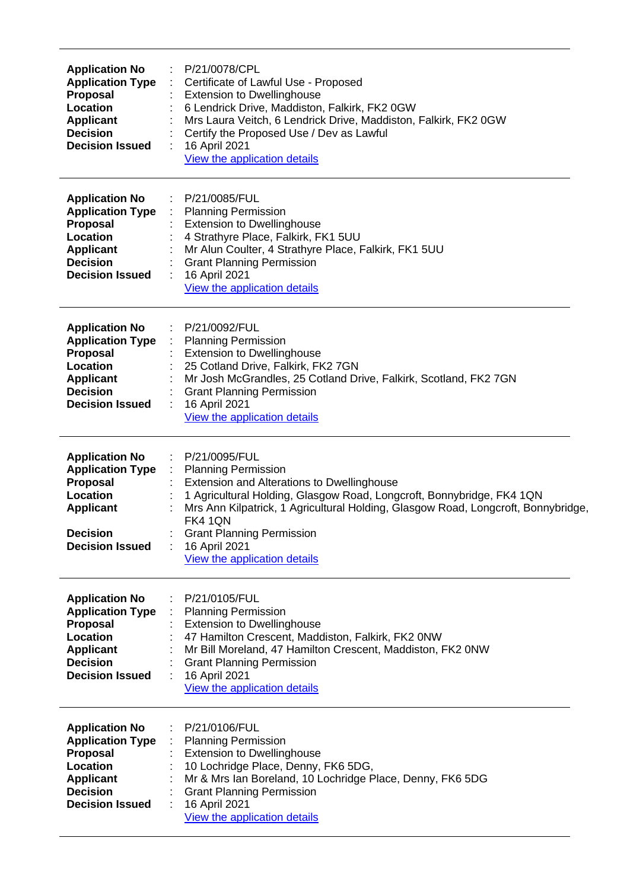| <b>Application No</b><br><b>Application Type</b><br><b>Proposal</b><br>Location<br><b>Applicant</b><br><b>Decision</b><br><b>Decision Issued</b> | P/21/0078/CPL<br>Certificate of Lawful Use - Proposed<br><b>Extension to Dwellinghouse</b><br>6 Lendrick Drive, Maddiston, Falkirk, FK2 0GW<br>Mrs Laura Veitch, 6 Lendrick Drive, Maddiston, Falkirk, FK2 0GW<br>Certify the Proposed Use / Dev as Lawful<br>16 April 2021<br>View the application details                                                    |
|--------------------------------------------------------------------------------------------------------------------------------------------------|----------------------------------------------------------------------------------------------------------------------------------------------------------------------------------------------------------------------------------------------------------------------------------------------------------------------------------------------------------------|
| <b>Application No</b><br><b>Application Type</b><br><b>Proposal</b><br>Location<br><b>Applicant</b><br><b>Decision</b><br><b>Decision Issued</b> | P/21/0085/FUL<br><b>Planning Permission</b><br><b>Extension to Dwellinghouse</b><br>4 Strathyre Place, Falkirk, FK1 5UU<br>Mr Alun Coulter, 4 Strathyre Place, Falkirk, FK1 5UU<br><b>Grant Planning Permission</b><br>16 April 2021<br>View the application details                                                                                           |
| <b>Application No</b><br><b>Application Type</b><br><b>Proposal</b><br>Location<br><b>Applicant</b><br><b>Decision</b><br><b>Decision Issued</b> | P/21/0092/FUL<br><b>Planning Permission</b><br><b>Extension to Dwellinghouse</b><br>25 Cotland Drive, Falkirk, FK2 7GN<br>Mr Josh McGrandles, 25 Cotland Drive, Falkirk, Scotland, FK2 7GN<br><b>Grant Planning Permission</b><br>16 April 2021<br>View the application details                                                                                |
| <b>Application No</b><br><b>Application Type</b><br><b>Proposal</b><br>Location<br><b>Applicant</b><br><b>Decision</b><br><b>Decision Issued</b> | P/21/0095/FUL<br><b>Planning Permission</b><br>Extension and Alterations to Dwellinghouse<br>1 Agricultural Holding, Glasgow Road, Longcroft, Bonnybridge, FK4 1QN<br>Mrs Ann Kilpatrick, 1 Agricultural Holding, Glasgow Road, Longcroft, Bonnybridge,<br><b>FK4 1QN</b><br><b>Grant Planning Permission</b><br>16 April 2021<br>View the application details |
| <b>Application No</b><br><b>Application Type</b><br><b>Proposal</b><br>Location<br><b>Applicant</b><br><b>Decision</b><br><b>Decision Issued</b> | P/21/0105/FUL<br><b>Planning Permission</b><br><b>Extension to Dwellinghouse</b><br>47 Hamilton Crescent, Maddiston, Falkirk, FK2 0NW<br>Mr Bill Moreland, 47 Hamilton Crescent, Maddiston, FK2 0NW<br><b>Grant Planning Permission</b><br>16 April 2021<br>View the application details                                                                       |
| <b>Application No</b><br><b>Application Type</b><br><b>Proposal</b><br>Location<br><b>Applicant</b><br><b>Decision</b><br><b>Decision Issued</b> | P/21/0106/FUL<br><b>Planning Permission</b><br><b>Extension to Dwellinghouse</b><br>10 Lochridge Place, Denny, FK6 5DG,<br>Mr & Mrs Ian Boreland, 10 Lochridge Place, Denny, FK6 5DG<br><b>Grant Planning Permission</b><br>16 April 2021<br>View the application details                                                                                      |